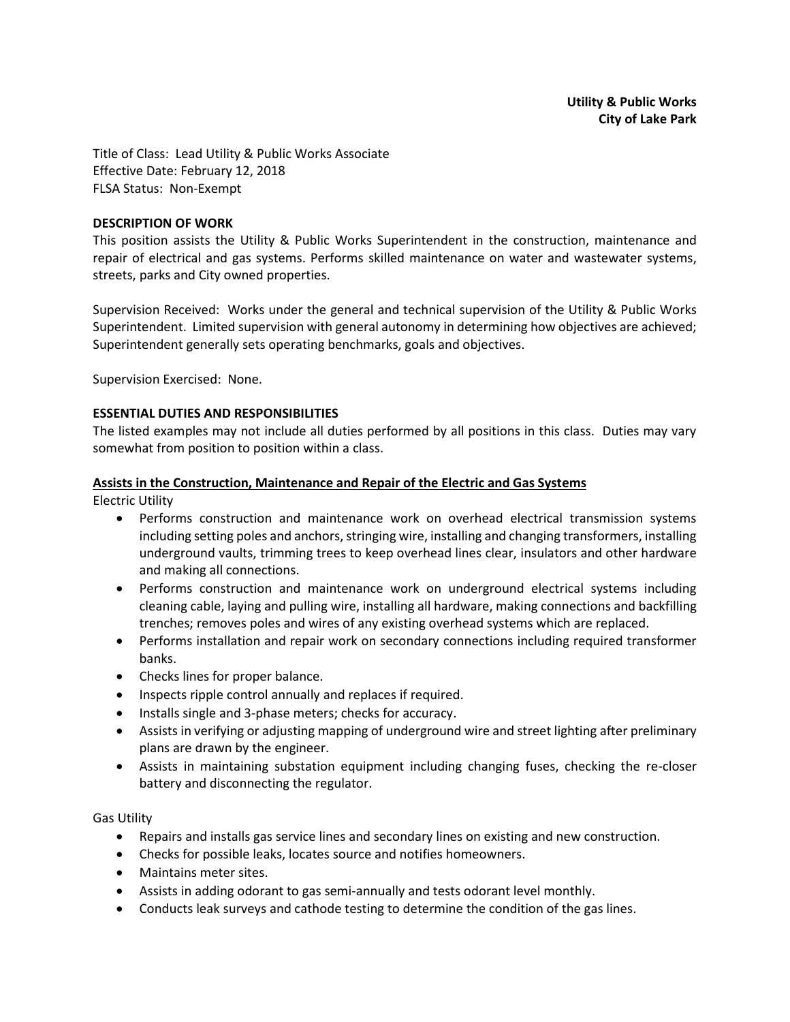Title of Class: Lead Utility & Public Works Associate Effective Date: February 12, 2018 FLSA Status: Non-Exempt

#### **DESCRIPTION OF WORK**

This position assists the Utility & Public Works Superintendent in the construction, maintenance and repair of electrical and gas systems. Performs skilled maintenance on water and wastewater systems, streets, parks and City owned properties.

Supervision Received: Works under the general and technical supervision of the Utility & Public Works Superintendent. Limited supervision with general autonomy in determining how objectives are achieved; Superintendent generally sets operating benchmarks, goals and objectives.

Supervision Exercised: None.

#### **ESSENTIAL DUTIES AND RESPONSIBILITIES**

The listed examples may not include all duties performed by all positions in this class. Duties may vary somewhat from position to position within a class.

#### **Assists in the Construction, Maintenance and Repair of the Electric and Gas Systems**

Electric Utility

- Performs construction and maintenance work on overhead electrical transmission systems including setting poles and anchors, stringing wire, installing and changing transformers, installing underground vaults, trimming trees to keep overhead lines clear, insulators and other hardware and making all connections.
- Performs construction and maintenance work on underground electrical systems including cleaning cable, laying and pulling wire, installing all hardware, making connections and backfilling trenches; removes poles and wires of any existing overhead systems which are replaced.
- Performs installation and repair work on secondary connections including required transformer banks.
- Checks lines for proper balance.
- Inspects ripple control annually and replaces if required.
- Installs single and 3-phase meters; checks for accuracy.
- Assists in verifying or adjusting mapping of underground wire and street lighting after preliminary plans are drawn by the engineer.
- Assists in maintaining substation equipment including changing fuses, checking the re-closer battery and disconnecting the regulator.

Gas Utility

- Repairs and installs gas service lines and secondary lines on existing and new construction.
- Checks for possible leaks, locates source and notifies homeowners.
- Maintains meter sites.
- Assists in adding odorant to gas semi-annually and tests odorant level monthly.
- Conducts leak surveys and cathode testing to determine the condition of the gas lines.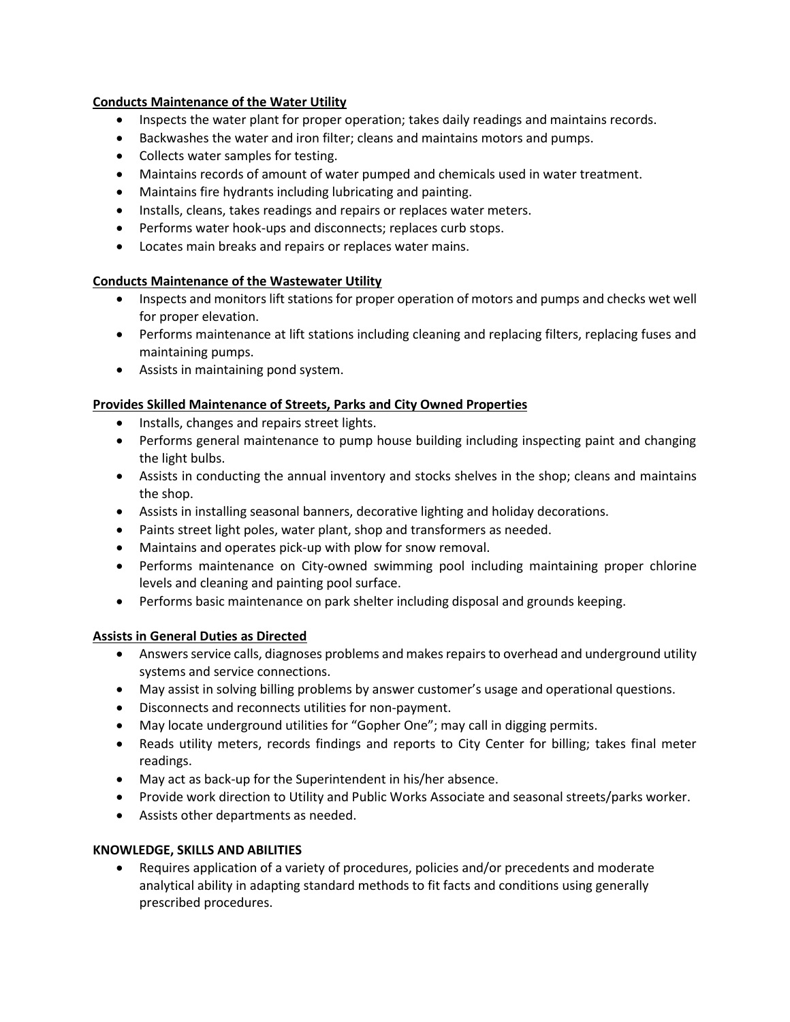## **Conducts Maintenance of the Water Utility**

- Inspects the water plant for proper operation; takes daily readings and maintains records.
- Backwashes the water and iron filter; cleans and maintains motors and pumps.
- Collects water samples for testing.
- Maintains records of amount of water pumped and chemicals used in water treatment.
- Maintains fire hydrants including lubricating and painting.
- Installs, cleans, takes readings and repairs or replaces water meters.
- Performs water hook-ups and disconnects; replaces curb stops.
- Locates main breaks and repairs or replaces water mains.

## **Conducts Maintenance of the Wastewater Utility**

- Inspects and monitors lift stations for proper operation of motors and pumps and checks wet well for proper elevation.
- Performs maintenance at lift stations including cleaning and replacing filters, replacing fuses and maintaining pumps.
- Assists in maintaining pond system.

## **Provides Skilled Maintenance of Streets, Parks and City Owned Properties**

- Installs, changes and repairs street lights.
- Performs general maintenance to pump house building including inspecting paint and changing the light bulbs.
- Assists in conducting the annual inventory and stocks shelves in the shop; cleans and maintains the shop.
- Assists in installing seasonal banners, decorative lighting and holiday decorations.
- Paints street light poles, water plant, shop and transformers as needed.
- Maintains and operates pick-up with plow for snow removal.
- Performs maintenance on City-owned swimming pool including maintaining proper chlorine levels and cleaning and painting pool surface.
- Performs basic maintenance on park shelter including disposal and grounds keeping.

## **Assists in General Duties as Directed**

- Answers service calls, diagnoses problems and makes repairs to overhead and underground utility systems and service connections.
- May assist in solving billing problems by answer customer's usage and operational questions.
- Disconnects and reconnects utilities for non-payment.
- May locate underground utilities for "Gopher One"; may call in digging permits.
- Reads utility meters, records findings and reports to City Center for billing; takes final meter readings.
- May act as back-up for the Superintendent in his/her absence.
- Provide work direction to Utility and Public Works Associate and seasonal streets/parks worker.
- Assists other departments as needed.

## **KNOWLEDGE, SKILLS AND ABILITIES**

• Requires application of a variety of procedures, policies and/or precedents and moderate analytical ability in adapting standard methods to fit facts and conditions using generally prescribed procedures.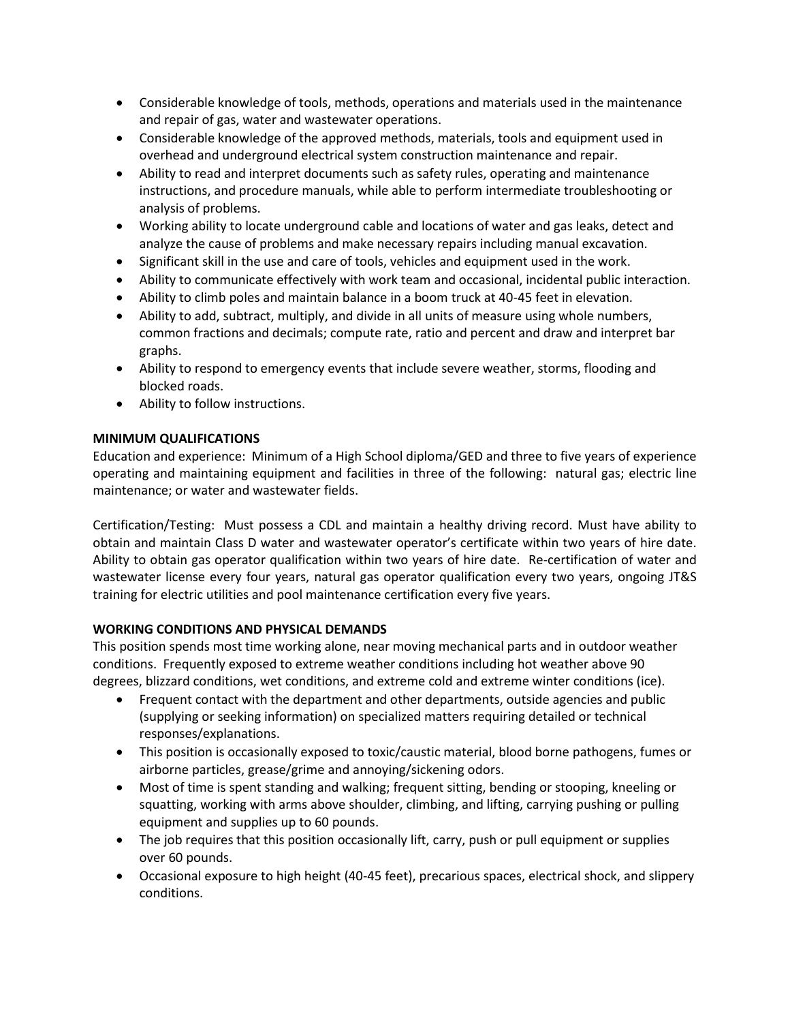- Considerable knowledge of tools, methods, operations and materials used in the maintenance and repair of gas, water and wastewater operations.
- Considerable knowledge of the approved methods, materials, tools and equipment used in overhead and underground electrical system construction maintenance and repair.
- Ability to read and interpret documents such as safety rules, operating and maintenance instructions, and procedure manuals, while able to perform intermediate troubleshooting or analysis of problems.
- Working ability to locate underground cable and locations of water and gas leaks, detect and analyze the cause of problems and make necessary repairs including manual excavation.
- Significant skill in the use and care of tools, vehicles and equipment used in the work.
- Ability to communicate effectively with work team and occasional, incidental public interaction.
- Ability to climb poles and maintain balance in a boom truck at 40-45 feet in elevation.
- Ability to add, subtract, multiply, and divide in all units of measure using whole numbers, common fractions and decimals; compute rate, ratio and percent and draw and interpret bar graphs.
- Ability to respond to emergency events that include severe weather, storms, flooding and blocked roads.
- Ability to follow instructions.

## **MINIMUM QUALIFICATIONS**

Education and experience: Minimum of a High School diploma/GED and three to five years of experience operating and maintaining equipment and facilities in three of the following: natural gas; electric line maintenance; or water and wastewater fields.

Certification/Testing: Must possess a CDL and maintain a healthy driving record. Must have ability to obtain and maintain Class D water and wastewater operator's certificate within two years of hire date. Ability to obtain gas operator qualification within two years of hire date. Re-certification of water and wastewater license every four years, natural gas operator qualification every two years, ongoing JT&S training for electric utilities and pool maintenance certification every five years.

# **WORKING CONDITIONS AND PHYSICAL DEMANDS**

This position spends most time working alone, near moving mechanical parts and in outdoor weather conditions. Frequently exposed to extreme weather conditions including hot weather above 90 degrees, blizzard conditions, wet conditions, and extreme cold and extreme winter conditions (ice).

- Frequent contact with the department and other departments, outside agencies and public (supplying or seeking information) on specialized matters requiring detailed or technical responses/explanations.
- This position is occasionally exposed to toxic/caustic material, blood borne pathogens, fumes or airborne particles, grease/grime and annoying/sickening odors.
- Most of time is spent standing and walking; frequent sitting, bending or stooping, kneeling or squatting, working with arms above shoulder, climbing, and lifting, carrying pushing or pulling equipment and supplies up to 60 pounds.
- The job requires that this position occasionally lift, carry, push or pull equipment or supplies over 60 pounds.
- Occasional exposure to high height (40-45 feet), precarious spaces, electrical shock, and slippery conditions.